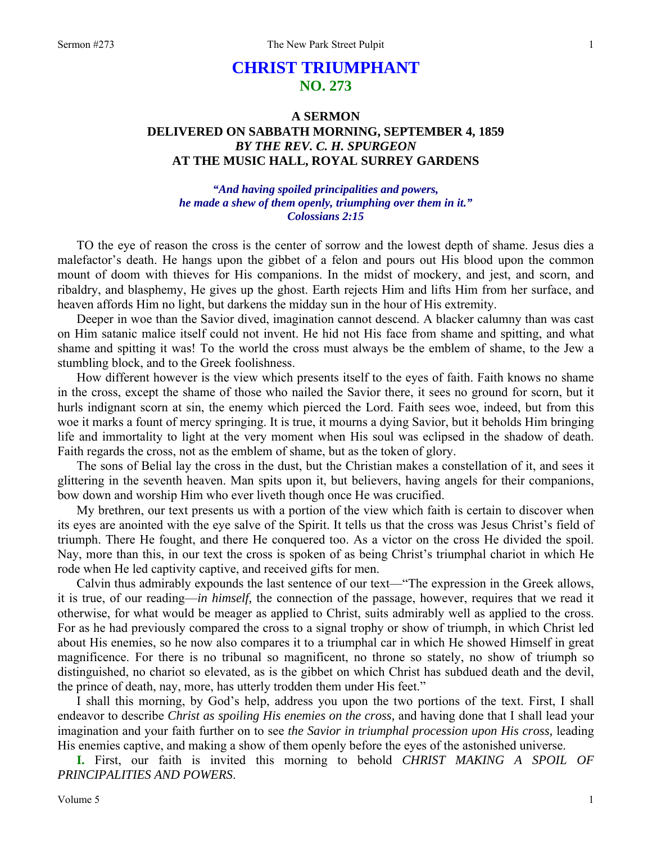# **CHRIST TRIUMPHANT NO. 273**

# **A SERMON DELIVERED ON SABBATH MORNING, SEPTEMBER 4, 1859**  *BY THE REV. C. H. SPURGEON* **AT THE MUSIC HALL, ROYAL SURREY GARDENS**

## *"And having spoiled principalities and powers, he made a shew of them openly, triumphing over them in it." Colossians 2:15*

TO the eye of reason the cross is the center of sorrow and the lowest depth of shame. Jesus dies a malefactor's death. He hangs upon the gibbet of a felon and pours out His blood upon the common mount of doom with thieves for His companions. In the midst of mockery, and jest, and scorn, and ribaldry, and blasphemy, He gives up the ghost. Earth rejects Him and lifts Him from her surface, and heaven affords Him no light, but darkens the midday sun in the hour of His extremity.

Deeper in woe than the Savior dived, imagination cannot descend. A blacker calumny than was cast on Him satanic malice itself could not invent. He hid not His face from shame and spitting, and what shame and spitting it was! To the world the cross must always be the emblem of shame, to the Jew a stumbling block, and to the Greek foolishness.

How different however is the view which presents itself to the eyes of faith. Faith knows no shame in the cross, except the shame of those who nailed the Savior there, it sees no ground for scorn, but it hurls indignant scorn at sin, the enemy which pierced the Lord. Faith sees woe, indeed, but from this woe it marks a fount of mercy springing. It is true, it mourns a dying Savior, but it beholds Him bringing life and immortality to light at the very moment when His soul was eclipsed in the shadow of death. Faith regards the cross, not as the emblem of shame, but as the token of glory.

The sons of Belial lay the cross in the dust, but the Christian makes a constellation of it, and sees it glittering in the seventh heaven. Man spits upon it, but believers, having angels for their companions, bow down and worship Him who ever liveth though once He was crucified.

My brethren, our text presents us with a portion of the view which faith is certain to discover when its eyes are anointed with the eye salve of the Spirit. It tells us that the cross was Jesus Christ's field of triumph. There He fought, and there He conquered too. As a victor on the cross He divided the spoil. Nay, more than this, in our text the cross is spoken of as being Christ's triumphal chariot in which He rode when He led captivity captive, and received gifts for men.

Calvin thus admirably expounds the last sentence of our text—"The expression in the Greek allows, it is true, of our reading—*in himself,* the connection of the passage, however, requires that we read it otherwise, for what would be meager as applied to Christ, suits admirably well as applied to the cross. For as he had previously compared the cross to a signal trophy or show of triumph, in which Christ led about His enemies, so he now also compares it to a triumphal car in which He showed Himself in great magnificence. For there is no tribunal so magnificent, no throne so stately, no show of triumph so distinguished, no chariot so elevated, as is the gibbet on which Christ has subdued death and the devil, the prince of death, nay, more, has utterly trodden them under His feet."

I shall this morning, by God's help, address you upon the two portions of the text. First, I shall endeavor to describe *Christ as spoiling His enemies on the cross,* and having done that I shall lead your imagination and your faith further on to see *the Savior in triumphal procession upon His cross,* leading His enemies captive, and making a show of them openly before the eyes of the astonished universe.

**I.** First, our faith is invited this morning to behold *CHRIST MAKING A SPOIL OF PRINCIPALITIES AND POWERS*.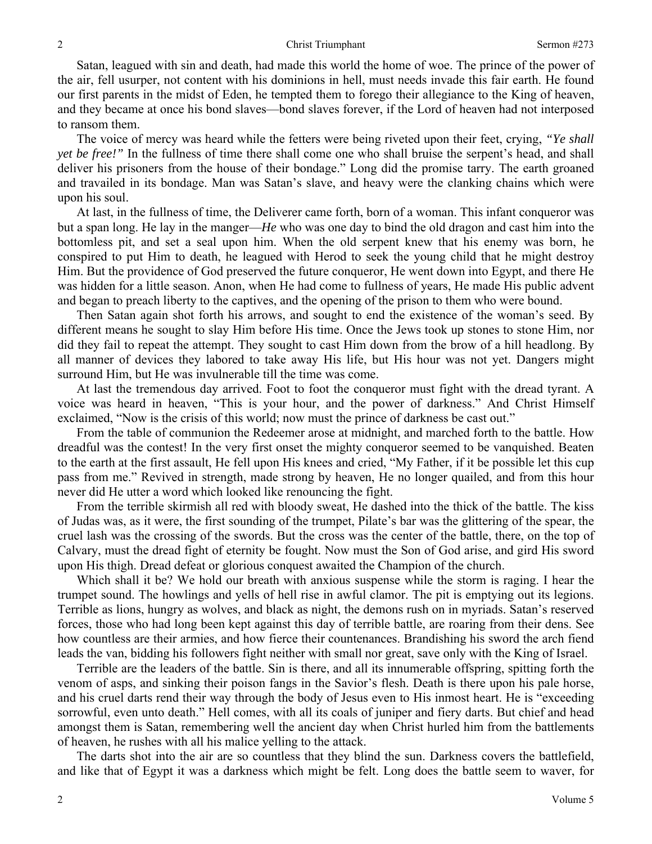Satan, leagued with sin and death, had made this world the home of woe. The prince of the power of the air, fell usurper, not content with his dominions in hell, must needs invade this fair earth. He found our first parents in the midst of Eden, he tempted them to forego their allegiance to the King of heaven, and they became at once his bond slaves—bond slaves forever, if the Lord of heaven had not interposed to ransom them.

The voice of mercy was heard while the fetters were being riveted upon their feet, crying, *"Ye shall yet be free!"* In the fullness of time there shall come one who shall bruise the serpent's head, and shall deliver his prisoners from the house of their bondage." Long did the promise tarry. The earth groaned and travailed in its bondage. Man was Satan's slave, and heavy were the clanking chains which were upon his soul.

At last, in the fullness of time, the Deliverer came forth, born of a woman. This infant conqueror was but a span long. He lay in the manger—*He* who was one day to bind the old dragon and cast him into the bottomless pit, and set a seal upon him. When the old serpent knew that his enemy was born, he conspired to put Him to death, he leagued with Herod to seek the young child that he might destroy Him. But the providence of God preserved the future conqueror, He went down into Egypt, and there He was hidden for a little season. Anon, when He had come to fullness of years, He made His public advent and began to preach liberty to the captives, and the opening of the prison to them who were bound.

Then Satan again shot forth his arrows, and sought to end the existence of the woman's seed. By different means he sought to slay Him before His time. Once the Jews took up stones to stone Him, nor did they fail to repeat the attempt. They sought to cast Him down from the brow of a hill headlong. By all manner of devices they labored to take away His life, but His hour was not yet. Dangers might surround Him, but He was invulnerable till the time was come.

At last the tremendous day arrived. Foot to foot the conqueror must fight with the dread tyrant. A voice was heard in heaven, "This is your hour, and the power of darkness." And Christ Himself exclaimed, "Now is the crisis of this world; now must the prince of darkness be cast out."

From the table of communion the Redeemer arose at midnight, and marched forth to the battle. How dreadful was the contest! In the very first onset the mighty conqueror seemed to be vanquished. Beaten to the earth at the first assault, He fell upon His knees and cried, "My Father, if it be possible let this cup pass from me." Revived in strength, made strong by heaven, He no longer quailed, and from this hour never did He utter a word which looked like renouncing the fight.

From the terrible skirmish all red with bloody sweat, He dashed into the thick of the battle. The kiss of Judas was, as it were, the first sounding of the trumpet, Pilate's bar was the glittering of the spear, the cruel lash was the crossing of the swords. But the cross was the center of the battle, there, on the top of Calvary, must the dread fight of eternity be fought. Now must the Son of God arise, and gird His sword upon His thigh. Dread defeat or glorious conquest awaited the Champion of the church.

Which shall it be? We hold our breath with anxious suspense while the storm is raging. I hear the trumpet sound. The howlings and yells of hell rise in awful clamor. The pit is emptying out its legions. Terrible as lions, hungry as wolves, and black as night, the demons rush on in myriads. Satan's reserved forces, those who had long been kept against this day of terrible battle, are roaring from their dens. See how countless are their armies, and how fierce their countenances. Brandishing his sword the arch fiend leads the van, bidding his followers fight neither with small nor great, save only with the King of Israel.

Terrible are the leaders of the battle. Sin is there, and all its innumerable offspring, spitting forth the venom of asps, and sinking their poison fangs in the Savior's flesh. Death is there upon his pale horse, and his cruel darts rend their way through the body of Jesus even to His inmost heart. He is "exceeding sorrowful, even unto death." Hell comes, with all its coals of juniper and fiery darts. But chief and head amongst them is Satan, remembering well the ancient day when Christ hurled him from the battlements of heaven, he rushes with all his malice yelling to the attack.

The darts shot into the air are so countless that they blind the sun. Darkness covers the battlefield, and like that of Egypt it was a darkness which might be felt. Long does the battle seem to waver, for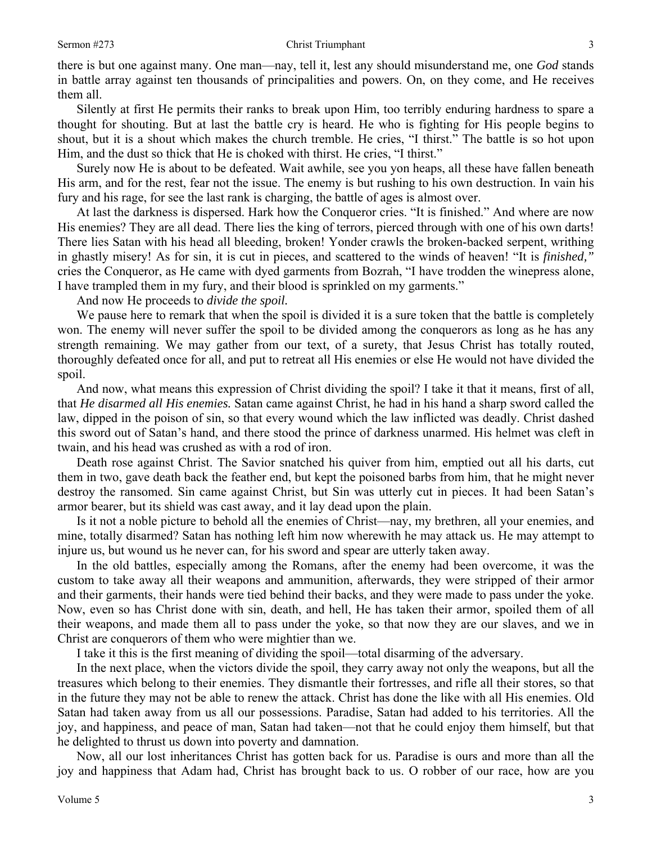there is but one against many. One man—nay, tell it, lest any should misunderstand me, one *God* stands in battle array against ten thousands of principalities and powers. On, on they come, and He receives them all.

Silently at first He permits their ranks to break upon Him, too terribly enduring hardness to spare a thought for shouting. But at last the battle cry is heard. He who is fighting for His people begins to shout, but it is a shout which makes the church tremble. He cries, "I thirst." The battle is so hot upon Him, and the dust so thick that He is choked with thirst. He cries, "I thirst."

Surely now He is about to be defeated. Wait awhile, see you yon heaps, all these have fallen beneath His arm, and for the rest, fear not the issue. The enemy is but rushing to his own destruction. In vain his fury and his rage, for see the last rank is charging, the battle of ages is almost over.

At last the darkness is dispersed. Hark how the Conqueror cries. "It is finished." And where are now His enemies? They are all dead. There lies the king of terrors, pierced through with one of his own darts! There lies Satan with his head all bleeding, broken! Yonder crawls the broken-backed serpent, writhing in ghastly misery! As for sin, it is cut in pieces, and scattered to the winds of heaven! "It is *finished,"* cries the Conqueror, as He came with dyed garments from Bozrah, "I have trodden the winepress alone,

I have trampled them in my fury, and their blood is sprinkled on my garments."

And now He proceeds to *divide the spoil.* 

We pause here to remark that when the spoil is divided it is a sure token that the battle is completely won. The enemy will never suffer the spoil to be divided among the conquerors as long as he has any strength remaining. We may gather from our text, of a surety, that Jesus Christ has totally routed, thoroughly defeated once for all, and put to retreat all His enemies or else He would not have divided the spoil.

And now, what means this expression of Christ dividing the spoil? I take it that it means, first of all, that *He disarmed all His enemies.* Satan came against Christ, he had in his hand a sharp sword called the law, dipped in the poison of sin, so that every wound which the law inflicted was deadly. Christ dashed this sword out of Satan's hand, and there stood the prince of darkness unarmed. His helmet was cleft in twain, and his head was crushed as with a rod of iron.

Death rose against Christ. The Savior snatched his quiver from him, emptied out all his darts, cut them in two, gave death back the feather end, but kept the poisoned barbs from him, that he might never destroy the ransomed. Sin came against Christ, but Sin was utterly cut in pieces. It had been Satan's armor bearer, but its shield was cast away, and it lay dead upon the plain.

Is it not a noble picture to behold all the enemies of Christ—nay, my brethren, all your enemies, and mine, totally disarmed? Satan has nothing left him now wherewith he may attack us. He may attempt to injure us, but wound us he never can, for his sword and spear are utterly taken away.

In the old battles, especially among the Romans, after the enemy had been overcome, it was the custom to take away all their weapons and ammunition, afterwards, they were stripped of their armor and their garments, their hands were tied behind their backs, and they were made to pass under the yoke. Now, even so has Christ done with sin, death, and hell, He has taken their armor, spoiled them of all their weapons, and made them all to pass under the yoke, so that now they are our slaves, and we in Christ are conquerors of them who were mightier than we.

I take it this is the first meaning of dividing the spoil—total disarming of the adversary.

In the next place, when the victors divide the spoil, they carry away not only the weapons, but all the treasures which belong to their enemies. They dismantle their fortresses, and rifle all their stores, so that in the future they may not be able to renew the attack. Christ has done the like with all His enemies. Old Satan had taken away from us all our possessions. Paradise, Satan had added to his territories. All the joy, and happiness, and peace of man, Satan had taken—not that he could enjoy them himself, but that he delighted to thrust us down into poverty and damnation.

Now, all our lost inheritances Christ has gotten back for us. Paradise is ours and more than all the joy and happiness that Adam had, Christ has brought back to us. O robber of our race, how are you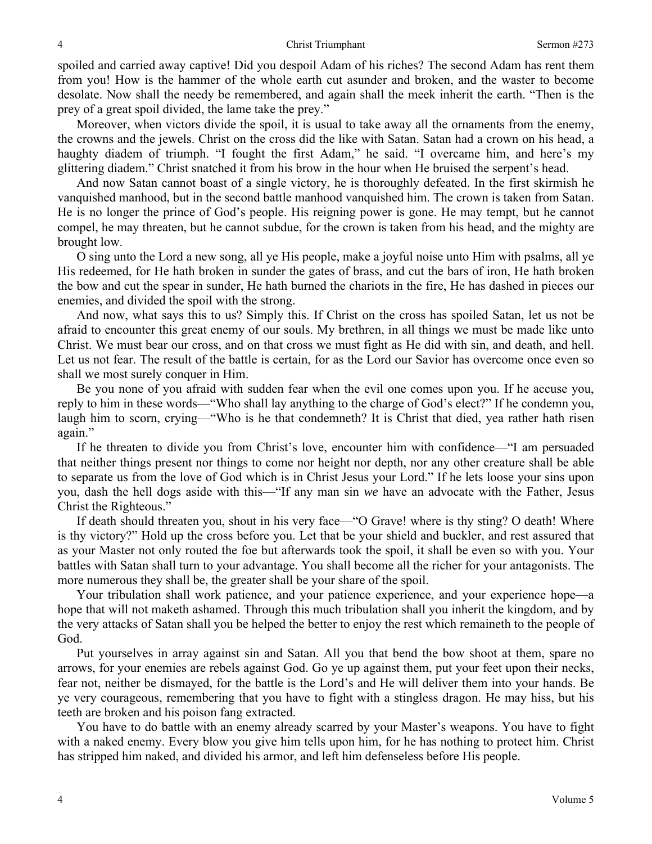spoiled and carried away captive! Did you despoil Adam of his riches? The second Adam has rent them from you! How is the hammer of the whole earth cut asunder and broken, and the waster to become desolate. Now shall the needy be remembered, and again shall the meek inherit the earth. "Then is the prey of a great spoil divided, the lame take the prey."

Moreover, when victors divide the spoil, it is usual to take away all the ornaments from the enemy, the crowns and the jewels. Christ on the cross did the like with Satan. Satan had a crown on his head, a haughty diadem of triumph. "I fought the first Adam," he said. "I overcame him, and here's my glittering diadem." Christ snatched it from his brow in the hour when He bruised the serpent's head.

And now Satan cannot boast of a single victory, he is thoroughly defeated. In the first skirmish he vanquished manhood, but in the second battle manhood vanquished him. The crown is taken from Satan. He is no longer the prince of God's people. His reigning power is gone. He may tempt, but he cannot compel, he may threaten, but he cannot subdue, for the crown is taken from his head, and the mighty are brought low.

O sing unto the Lord a new song, all ye His people, make a joyful noise unto Him with psalms, all ye His redeemed, for He hath broken in sunder the gates of brass, and cut the bars of iron, He hath broken the bow and cut the spear in sunder, He hath burned the chariots in the fire, He has dashed in pieces our enemies, and divided the spoil with the strong.

And now, what says this to us? Simply this. If Christ on the cross has spoiled Satan, let us not be afraid to encounter this great enemy of our souls. My brethren, in all things we must be made like unto Christ. We must bear our cross, and on that cross we must fight as He did with sin, and death, and hell. Let us not fear. The result of the battle is certain, for as the Lord our Savior has overcome once even so shall we most surely conquer in Him.

Be you none of you afraid with sudden fear when the evil one comes upon you. If he accuse you, reply to him in these words—"Who shall lay anything to the charge of God's elect?" If he condemn you, laugh him to scorn, crying—"Who is he that condemneth? It is Christ that died, yea rather hath risen again."

If he threaten to divide you from Christ's love, encounter him with confidence—"I am persuaded that neither things present nor things to come nor height nor depth, nor any other creature shall be able to separate us from the love of God which is in Christ Jesus your Lord." If he lets loose your sins upon you, dash the hell dogs aside with this—"If any man sin *we* have an advocate with the Father, Jesus Christ the Righteous."

If death should threaten you, shout in his very face—"O Grave! where is thy sting? O death! Where is thy victory?" Hold up the cross before you. Let that be your shield and buckler, and rest assured that as your Master not only routed the foe but afterwards took the spoil, it shall be even so with you. Your battles with Satan shall turn to your advantage. You shall become all the richer for your antagonists. The more numerous they shall be, the greater shall be your share of the spoil.

Your tribulation shall work patience, and your patience experience, and your experience hope—a hope that will not maketh ashamed. Through this much tribulation shall you inherit the kingdom, and by the very attacks of Satan shall you be helped the better to enjoy the rest which remaineth to the people of God.

Put yourselves in array against sin and Satan. All you that bend the bow shoot at them, spare no arrows, for your enemies are rebels against God. Go ye up against them, put your feet upon their necks, fear not, neither be dismayed, for the battle is the Lord's and He will deliver them into your hands. Be ye very courageous, remembering that you have to fight with a stingless dragon. He may hiss, but his teeth are broken and his poison fang extracted.

You have to do battle with an enemy already scarred by your Master's weapons. You have to fight with a naked enemy. Every blow you give him tells upon him, for he has nothing to protect him. Christ has stripped him naked, and divided his armor, and left him defenseless before His people.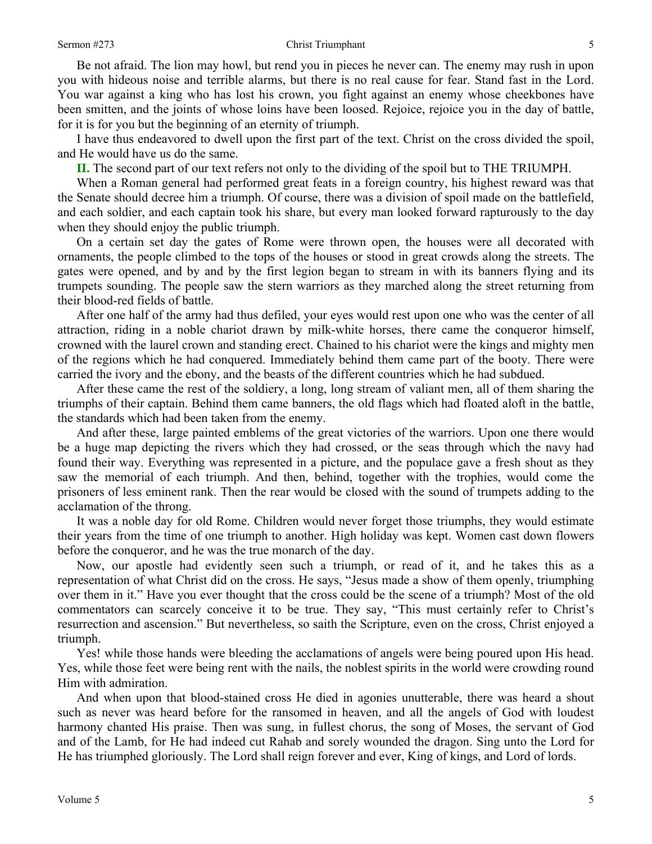#### Sermon #273 Christ Triumphant

Be not afraid. The lion may howl, but rend you in pieces he never can. The enemy may rush in upon you with hideous noise and terrible alarms, but there is no real cause for fear. Stand fast in the Lord. You war against a king who has lost his crown, you fight against an enemy whose cheekbones have been smitten, and the joints of whose loins have been loosed. Rejoice, rejoice you in the day of battle, for it is for you but the beginning of an eternity of triumph.

I have thus endeavored to dwell upon the first part of the text. Christ on the cross divided the spoil, and He would have us do the same.

**II.** The second part of our text refers not only to the dividing of the spoil but to THE TRIUMPH.

When a Roman general had performed great feats in a foreign country, his highest reward was that the Senate should decree him a triumph. Of course, there was a division of spoil made on the battlefield, and each soldier, and each captain took his share, but every man looked forward rapturously to the day when they should enjoy the public triumph.

On a certain set day the gates of Rome were thrown open, the houses were all decorated with ornaments, the people climbed to the tops of the houses or stood in great crowds along the streets. The gates were opened, and by and by the first legion began to stream in with its banners flying and its trumpets sounding. The people saw the stern warriors as they marched along the street returning from their blood-red fields of battle.

After one half of the army had thus defiled, your eyes would rest upon one who was the center of all attraction, riding in a noble chariot drawn by milk-white horses, there came the conqueror himself, crowned with the laurel crown and standing erect. Chained to his chariot were the kings and mighty men of the regions which he had conquered. Immediately behind them came part of the booty. There were carried the ivory and the ebony, and the beasts of the different countries which he had subdued.

After these came the rest of the soldiery, a long, long stream of valiant men, all of them sharing the triumphs of their captain. Behind them came banners, the old flags which had floated aloft in the battle, the standards which had been taken from the enemy.

And after these, large painted emblems of the great victories of the warriors. Upon one there would be a huge map depicting the rivers which they had crossed, or the seas through which the navy had found their way. Everything was represented in a picture, and the populace gave a fresh shout as they saw the memorial of each triumph. And then, behind, together with the trophies, would come the prisoners of less eminent rank. Then the rear would be closed with the sound of trumpets adding to the acclamation of the throng.

It was a noble day for old Rome. Children would never forget those triumphs, they would estimate their years from the time of one triumph to another. High holiday was kept. Women cast down flowers before the conqueror, and he was the true monarch of the day.

Now, our apostle had evidently seen such a triumph, or read of it, and he takes this as a representation of what Christ did on the cross. He says, "Jesus made a show of them openly, triumphing over them in it." Have you ever thought that the cross could be the scene of a triumph? Most of the old commentators can scarcely conceive it to be true. They say, "This must certainly refer to Christ's resurrection and ascension." But nevertheless, so saith the Scripture, even on the cross, Christ enjoyed a triumph.

Yes! while those hands were bleeding the acclamations of angels were being poured upon His head. Yes, while those feet were being rent with the nails, the noblest spirits in the world were crowding round Him with admiration.

And when upon that blood-stained cross He died in agonies unutterable, there was heard a shout such as never was heard before for the ransomed in heaven, and all the angels of God with loudest harmony chanted His praise. Then was sung, in fullest chorus, the song of Moses, the servant of God and of the Lamb, for He had indeed cut Rahab and sorely wounded the dragon. Sing unto the Lord for He has triumphed gloriously. The Lord shall reign forever and ever, King of kings, and Lord of lords.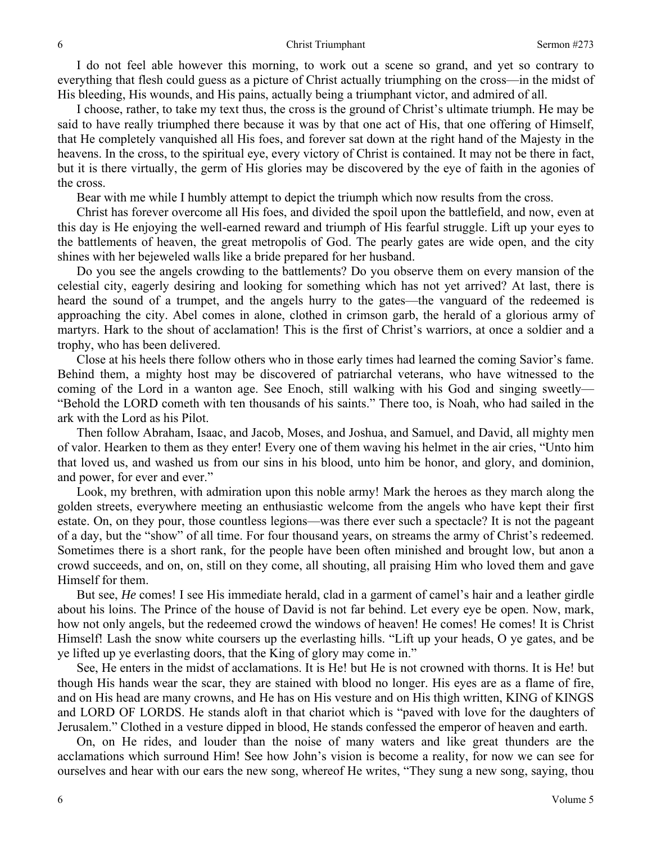I do not feel able however this morning, to work out a scene so grand, and yet so contrary to everything that flesh could guess as a picture of Christ actually triumphing on the cross—in the midst of His bleeding, His wounds, and His pains, actually being a triumphant victor, and admired of all.

I choose, rather, to take my text thus, the cross is the ground of Christ's ultimate triumph. He may be said to have really triumphed there because it was by that one act of His, that one offering of Himself, that He completely vanquished all His foes, and forever sat down at the right hand of the Majesty in the heavens. In the cross, to the spiritual eye, every victory of Christ is contained. It may not be there in fact, but it is there virtually, the germ of His glories may be discovered by the eye of faith in the agonies of the cross.

Bear with me while I humbly attempt to depict the triumph which now results from the cross.

Christ has forever overcome all His foes, and divided the spoil upon the battlefield, and now, even at this day is He enjoying the well-earned reward and triumph of His fearful struggle. Lift up your eyes to the battlements of heaven, the great metropolis of God. The pearly gates are wide open, and the city shines with her bejeweled walls like a bride prepared for her husband.

Do you see the angels crowding to the battlements? Do you observe them on every mansion of the celestial city, eagerly desiring and looking for something which has not yet arrived? At last, there is heard the sound of a trumpet, and the angels hurry to the gates—the vanguard of the redeemed is approaching the city. Abel comes in alone, clothed in crimson garb, the herald of a glorious army of martyrs. Hark to the shout of acclamation! This is the first of Christ's warriors, at once a soldier and a trophy, who has been delivered.

Close at his heels there follow others who in those early times had learned the coming Savior's fame. Behind them, a mighty host may be discovered of patriarchal veterans, who have witnessed to the coming of the Lord in a wanton age. See Enoch, still walking with his God and singing sweetly— "Behold the LORD cometh with ten thousands of his saints." There too, is Noah, who had sailed in the ark with the Lord as his Pilot.

Then follow Abraham, Isaac, and Jacob, Moses, and Joshua, and Samuel, and David, all mighty men of valor. Hearken to them as they enter! Every one of them waving his helmet in the air cries, "Unto him that loved us, and washed us from our sins in his blood, unto him be honor, and glory, and dominion, and power, for ever and ever."

Look, my brethren, with admiration upon this noble army! Mark the heroes as they march along the golden streets, everywhere meeting an enthusiastic welcome from the angels who have kept their first estate. On, on they pour, those countless legions—was there ever such a spectacle? It is not the pageant of a day, but the "show" of all time. For four thousand years, on streams the army of Christ's redeemed. Sometimes there is a short rank, for the people have been often minished and brought low, but anon a crowd succeeds, and on, on, still on they come, all shouting, all praising Him who loved them and gave Himself for them.

But see, *He* comes! I see His immediate herald, clad in a garment of camel's hair and a leather girdle about his loins. The Prince of the house of David is not far behind. Let every eye be open. Now, mark, how not only angels, but the redeemed crowd the windows of heaven! He comes! He comes! It is Christ Himself! Lash the snow white coursers up the everlasting hills. "Lift up your heads, O ye gates, and be ye lifted up ye everlasting doors, that the King of glory may come in."

See, He enters in the midst of acclamations. It is He! but He is not crowned with thorns. It is He! but though His hands wear the scar, they are stained with blood no longer. His eyes are as a flame of fire, and on His head are many crowns, and He has on His vesture and on His thigh written, KING of KINGS and LORD OF LORDS. He stands aloft in that chariot which is "paved with love for the daughters of Jerusalem." Clothed in a vesture dipped in blood, He stands confessed the emperor of heaven and earth.

On, on He rides, and louder than the noise of many waters and like great thunders are the acclamations which surround Him! See how John's vision is become a reality, for now we can see for ourselves and hear with our ears the new song, whereof He writes, "They sung a new song, saying, thou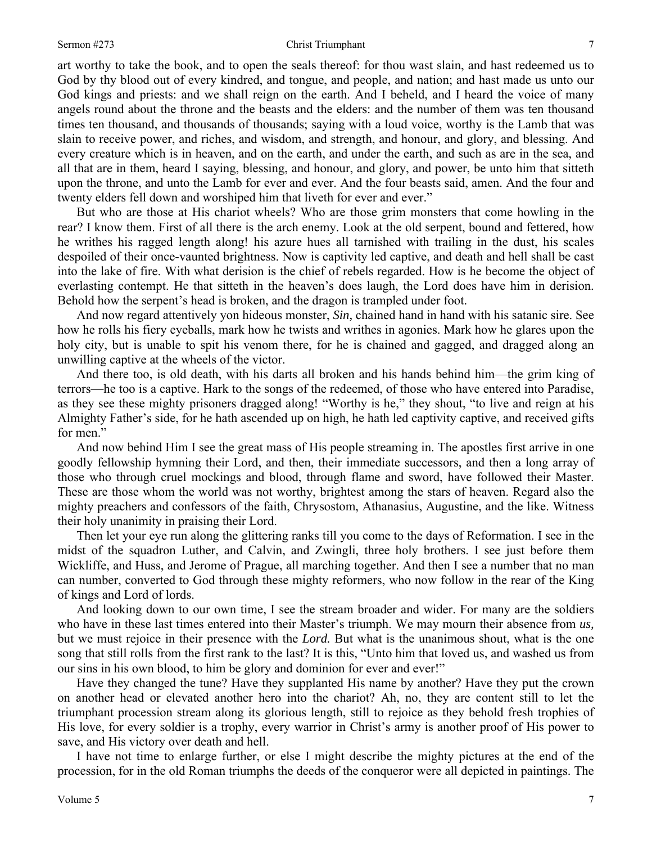#### Sermon #273 Christ Triumphant

art worthy to take the book, and to open the seals thereof: for thou wast slain, and hast redeemed us to God by thy blood out of every kindred, and tongue, and people, and nation; and hast made us unto our God kings and priests: and we shall reign on the earth. And I beheld, and I heard the voice of many angels round about the throne and the beasts and the elders: and the number of them was ten thousand times ten thousand, and thousands of thousands; saying with a loud voice, worthy is the Lamb that was slain to receive power, and riches, and wisdom, and strength, and honour, and glory, and blessing. And every creature which is in heaven, and on the earth, and under the earth, and such as are in the sea, and all that are in them, heard I saying, blessing, and honour, and glory, and power, be unto him that sitteth upon the throne, and unto the Lamb for ever and ever. And the four beasts said, amen. And the four and twenty elders fell down and worshiped him that liveth for ever and ever."

But who are those at His chariot wheels? Who are those grim monsters that come howling in the rear? I know them. First of all there is the arch enemy. Look at the old serpent, bound and fettered, how he writhes his ragged length along! his azure hues all tarnished with trailing in the dust, his scales despoiled of their once-vaunted brightness. Now is captivity led captive, and death and hell shall be cast into the lake of fire. With what derision is the chief of rebels regarded. How is he become the object of everlasting contempt. He that sitteth in the heaven's does laugh, the Lord does have him in derision. Behold how the serpent's head is broken, and the dragon is trampled under foot.

And now regard attentively yon hideous monster, *Sin,* chained hand in hand with his satanic sire. See how he rolls his fiery eyeballs, mark how he twists and writhes in agonies. Mark how he glares upon the holy city, but is unable to spit his venom there, for he is chained and gagged, and dragged along an unwilling captive at the wheels of the victor.

And there too, is old death, with his darts all broken and his hands behind him—the grim king of terrors—he too is a captive. Hark to the songs of the redeemed, of those who have entered into Paradise, as they see these mighty prisoners dragged along! "Worthy is he," they shout, "to live and reign at his Almighty Father's side, for he hath ascended up on high, he hath led captivity captive, and received gifts for men."

And now behind Him I see the great mass of His people streaming in. The apostles first arrive in one goodly fellowship hymning their Lord, and then, their immediate successors, and then a long array of those who through cruel mockings and blood, through flame and sword, have followed their Master. These are those whom the world was not worthy, brightest among the stars of heaven. Regard also the mighty preachers and confessors of the faith, Chrysostom, Athanasius, Augustine, and the like. Witness their holy unanimity in praising their Lord.

Then let your eye run along the glittering ranks till you come to the days of Reformation. I see in the midst of the squadron Luther, and Calvin, and Zwingli, three holy brothers. I see just before them Wickliffe, and Huss, and Jerome of Prague, all marching together. And then I see a number that no man can number, converted to God through these mighty reformers, who now follow in the rear of the King of kings and Lord of lords.

And looking down to our own time, I see the stream broader and wider. For many are the soldiers who have in these last times entered into their Master's triumph. We may mourn their absence from *us,* but we must rejoice in their presence with the *Lord.* But what is the unanimous shout, what is the one song that still rolls from the first rank to the last? It is this, "Unto him that loved us, and washed us from our sins in his own blood, to him be glory and dominion for ever and ever!"

Have they changed the tune? Have they supplanted His name by another? Have they put the crown on another head or elevated another hero into the chariot? Ah, no, they are content still to let the triumphant procession stream along its glorious length, still to rejoice as they behold fresh trophies of His love, for every soldier is a trophy, every warrior in Christ's army is another proof of His power to save, and His victory over death and hell.

I have not time to enlarge further, or else I might describe the mighty pictures at the end of the procession, for in the old Roman triumphs the deeds of the conqueror were all depicted in paintings. The